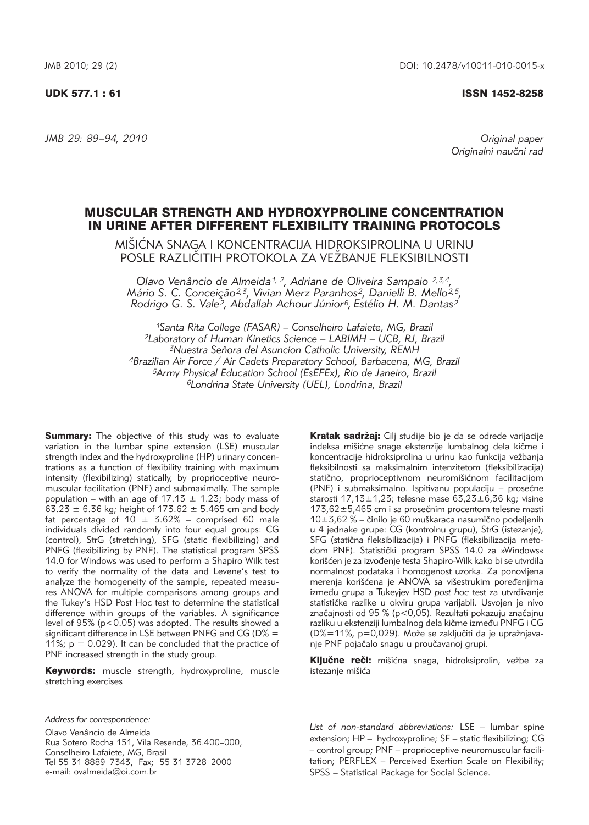# UDK 577.1 : 61 ISSN 1452-8258

*JMB 29: 89–94, 2010 Original paper*

Originalni naučni rad

# MUSCULAR STRENGTH AND HYDROXYPROLINE CONCENTRATION IN URINE AFTER DIFFERENT FLEXIBILITY TRAINING PROTOCOLS

MIŠIĆNA SNAGA I KONCENTRACIJA HIDROKSIPROLINA U URINU POSLE RAZLIČITIH PROTOKOLA ZA VEŽBANJE FLEKSIBILNOSTI

*Olavo Venâncio de Almeida1, 2, Adriane de Oliveira Sampaio 2,3,4, Mário S. C. Conceição2,3, Vivian Merz Paranhos2, Danielli B. Mello2,5, Rodrigo G. S. Vale2, Abdallah Achour Júnior6, Estélio H. M. Dantas2*

*1Santa Rita College (FASAR) – Conselheiro Lafaiete, MG, Brazil 2Laboratory of Human Kinetics Science – LABIMH – UCB, RJ, Brazil 3Nuestra Señora del Asuncíon Catholic University, REMH 4Brazilian Air Force / Air Cadets Preparatory School, Barbacena, MG, Brazil 5Army Physical Education School (EsEFEx), Rio de Janeiro, Brazil 6Londrina State University (UEL), Londrina, Brazil*

**Summary:** The objective of this study was to evaluate variation in the lumbar spine extension (LSE) muscular strength index and the hydroxyproline (HP) urinary concen trations as a function of flexibility training with maximum intensity (flexibilizing) statically, by proprioceptive neuromuscular facilitation (PNF) and submaximally. The sample population – with an age of 17.13  $\pm$  1.23; body mass of  $63.23 \pm 6.36$  kg; height of 173.62  $\pm$  5.465 cm and body fat percentage of 10  $\pm$  3.62% – comprised 60 male individuals divided randomly into four equal groups: CG (control), StrG (stretching), SFG (static flexibilizing) and PNFG (flexibilizing by PNF). The statistical program SPSS 14.0 for Windows was used to perform a Shapiro Wilk test to verify the normality of the data and Levene's test to analyze the homogeneity of the sample, repeated measures ANOVA for multiple comparisons among groups and the Tukey's HSD Post Hoc test to determine the statistical difference within groups of the variables. A significance level of 95% (p<0.05) was adopted. The results showed a significant difference in LSE between PNFG and CG (D% = 11%;  $p = 0.029$ ). It can be concluded that the practice of PNF increased strength in the study group.

Keywords: muscle strength, hydroxyproline, muscle stretching exercises

e-mail: ovalmeida@oi.com.br

Olavo Venâncio de Almeida Rua Sotero Rocha 151, Vila Resende, 36.400–000, Conselheiro Lafaiete, MG, Brasil Tel 55 31 8889–7343, Fax; 55 31 3728–2000

u 4 jednake grupe: CG (kontrolnu grupu), StrG (istezanje), SFG (statična fleksibilizacija) i PNFG (fleksibilizacija metodom PNF). Statistički program SPSS 14.0 za »Windows« korišćen je za izvođenje testa Shapiro-Wilk kako bi se utvrdila normalnost podataka i homogenost uzorka. Za ponovljena merenja korišćena je ANOVA sa višestrukim poređenjima između grupa a Tukeyjev HSD post hoc test za utvrđivanje statističke razlike u okviru grupa varijabli. Usvojen je nivo značajnosti od 95 % (p<0,05). Rezultati pokazuju značajnu razliku u ekstenziji lumbalnog dela kičme između PNFG i CG  $(D\% = 11\%$ , p=0,029). Može se zaključiti da je upražnjavanje PNF pojačalo snagu u proučavanoj grupi. Ključne reči: mišićna snaga, hidroksiprolin, vežbe za istezanje mišića

*List of non-standard abbreviations:* LSE – lumbar spine extension; HP - hydroxyproline; SF - static flexibilizing; CG – control group; PNF – proprioceptive neuromuscular facilitation; PERFLEX - Perceived Exertion Scale on Flexibility; SPSS - Statistical Package for Social Science.

Kratak sadržaj: Cilj studije bio je da se odrede varijacije indeksa mišićne snage ekstenzije lumbalnog dela kičme i koncentracije hidroksiprolina u urinu kao funkcija vežbanja fleksibilnosti sa maksimalnim intenzitetom (fleksibilizacija) statično, proprioceptivnom neuromišićnom facilitacijom (PNF) i submaksimalno. Ispitivanu populaciju – prosečne starosti 17,13 $\pm$ 1,23; telesne mase 63,23 $\pm$ 6,36 kg; visine  $173,62 \pm 5,465$  cm i sa prosečnim procentom telesne masti  $10\pm3.62$  % – činilo je 60 muškaraca nasumično podeljenih

*Address for correspondence:*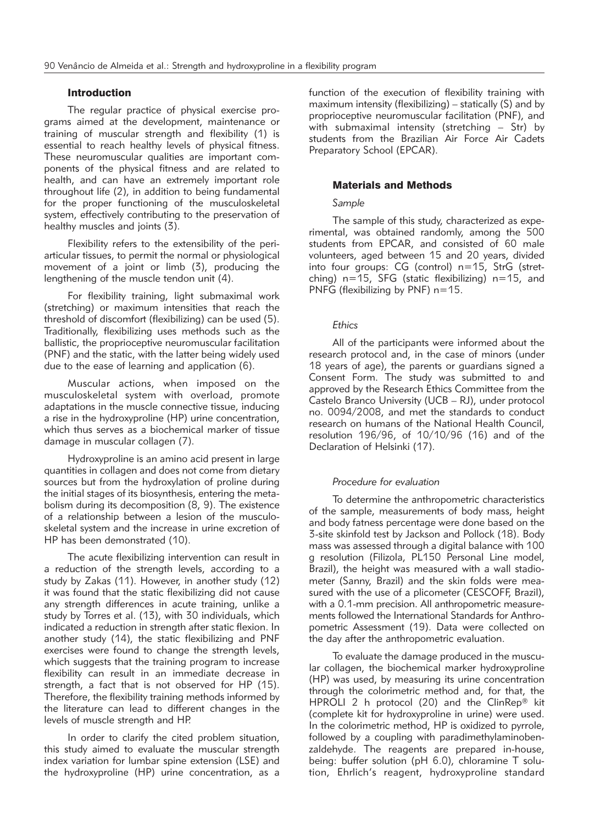### Introduction

The regular practice of physical exercise programs aimed at the development, maintenance or training of muscular strength and flexibility (1) is essential to reach healthy levels of physical fitness. These neuromuscular qualities are important components of the physical fitness and are related to health, and can have an extremely important role throughout life (2), in addition to being fundamental for the proper functioning of the musculoskeletal system, effectively contributing to the preservation of healthy muscles and joints (3).

Flexibility refers to the extensibility of the periarticular tissues, to permit the normal or physiological movement of a joint or limb (3), producing the lengthening of the muscle tendon unit (4).

For flexibility training, light submaximal work (stretching) or maximum intensities that reach the threshold of discomfort (flexibilizing) can be used (5). Traditionally, flexibilizing uses methods such as the ballistic, the proprioceptive neuromuscular facilitation (PNF) and the static, with the latter being widely used due to the ease of learning and application (6).

Muscular actions, when imposed on the musculoskeletal system with overload, promote adaptations in the muscle connective tissue, inducing a rise in the hydroxyproline (HP) urine concentration, which thus serves as a biochemical marker of tissue damage in muscular collagen (7).

Hydroxyproline is an amino acid present in large quantities in collagen and does not come from dietary sources but from the hydroxylation of proline during the initial stages of its biosynthesis, entering the meta bolism during its decomposition (8, 9). The existence of a relationship between a lesion of the musculoskeletal system and the increase in urine excretion of HP has been demonstrated (10).

The acute flexibilizing intervention can result in a reduction of the strength levels, according to a study by Zakas (11). However, in another study (12) it was found that the static flexibilizing did not cause any strength differences in acute training, unlike a study by Torres et al. (13), with 30 individuals, which indicated a reduction in strength after static flexion. In another study (14), the static flexibilizing and PNF exercises were found to change the strength levels, which suggests that the training program to increase flexibility can result in an immediate decrease in strength, a fact that is not observed for HP (15). Therefore, the flexibility training methods informed by the literature can lead to different changes in the levels of muscle strength and HP.

In order to clarify the cited problem situation, this study aimed to evaluate the muscular strength index variation for lumbar spine extension (LSE) and the hydroxyproline (HP) urine concentration, as a function of the execution of flexibility training with maximum intensity (flexibilizing) – statically (S) and by proprioceptive neuromuscular facilitation (PNF), and with submaximal intensity (stretching – Str) by students from the Brazilian Air Force Air Cadets Preparatory School (EPCAR).

#### Materials and Methods

### *Sample*

The sample of this study, characterized as experimental, was obtained randomly, among the 500 students from EPCAR, and consisted of 60 male volunteers, aged between 15 and 20 years, divided into four groups: CG (control) n=15, StrG (stret ching)  $n=15$ , SFG (static flexibilizing)  $n=15$ , and PNFG (flexibilizing by PNF) n=15.

#### *Ethics*

All of the participants were informed about the research protocol and, in the case of minors (under 18 years of age), the parents or guardians signed a Consent Form. The study was submitted to and approved by the Research Ethics Committee from the Castelo Branco University (UCB – RJ), under protocol no. 0094/2008, and met the standards to conduct research on humans of the National Health Council, resolution 196/96, of 10/10/96 (16) and of the Declaration of Helsinki (17).

# *Procedure for evaluation*

To determine the anthropometric characteristics of the sample, measurements of body mass, height and body fatness percentage were done based on the 3-site skinfold test by Jackson and Pollock (18). Body mass was assessed through a digital balance with 100 g resolution (Filizola, PL150 Personal Line model, Brazil), the height was measured with a wall stadiometer (Sanny, Brazil) and the skin folds were measured with the use of a plicometer (CESCOFF, Brazil), with a 0.1-mm precision. All anthropometric measurements followed the International Standards for Anthropometric Assessment (19). Data were collected on the day after the anthropometric evaluation.

To evaluate the damage produced in the muscular collagen, the biochemical marker hydroxyproline (HP) was used, by measuring its urine concentration through the colorimetric method and, for that, the HPROLI 2 h protocol (20) and the ClinRep® kit (complete kit for hydroxyproline in urine) were used. In the colorimetric method, HP is oxidized to pyrrole, followed by a coupling with paradimethylaminobenzaldehyde. The reagents are prepared in-house, being: buffer solution (pH 6.0), chloramine T solution, Ehrlich's reagent, hydroxyproline standard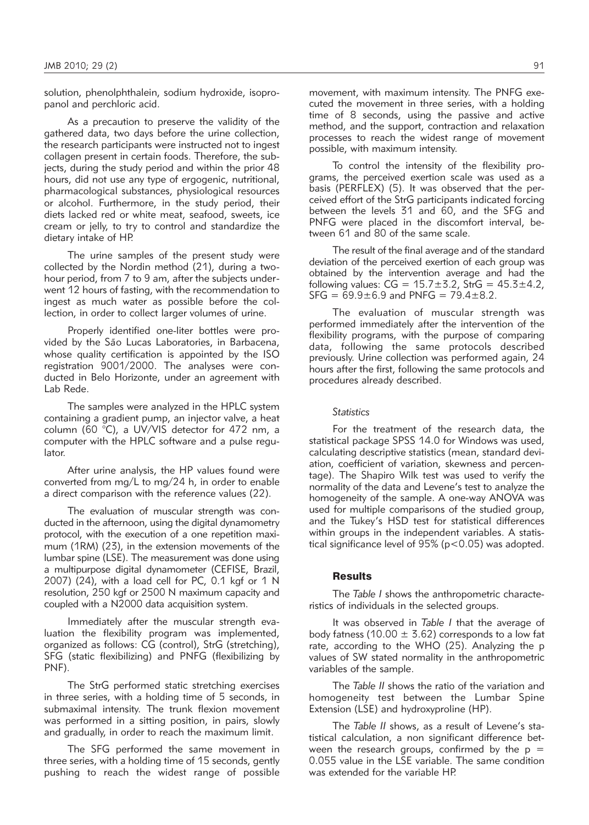solution, phenolphthalein, sodium hydroxide, isopropanol and perchloric acid.

As a precaution to preserve the validity of the gathered data, two days before the urine collection, the research participants were instructed not to ingest collagen present in certain foods. Therefore, the subjects, during the study period and within the prior 48 hours, did not use any type of ergogenic, nutritional, pharmacological substances, physiological resources or alcohol. Furthermore, in the study period, their diets lacked red or white meat, seafood, sweets, ice cream or jelly, to try to control and standardize the dietary intake of HP.

The urine samples of the present study were collected by the Nordin method (21), during a twohour period, from 7 to 9 am, after the subjects underwent 12 hours of fasting, with the recommendation to ingest as much water as possible before the collection, in order to collect larger volumes of urine.

Properly identified one-liter bottles were provided by the São Lucas Laboratories, in Barbacena, whose quality certification is appointed by the ISO registration 9001/2000. The analyses were conducted in Belo Horizonte, under an agreement with Lab Rede.

The samples were analyzed in the HPLC system containing a gradient pump, an injector valve, a heat column (60 °C), a UV/VIS detector for 472 nm, a computer with the HPLC software and a pulse requlator.

After urine analysis, the HP values found were converted from mg/L to mg/24 h, in order to enable a direct comparison with the reference values (22).

The evaluation of muscular strength was conducted in the afternoon, using the digital dynamometry protocol, with the execution of a one repetition maximum (1RM) (23), in the extension movements of the lumbar spine (LSE). The measurement was done using a multipurpose digital dynamometer (CEFISE, Brazil, 2007) (24), with a load cell for PC, 0.1 kgf or 1 N resolution, 250 kgf or 2500 N maximum capacity and coupled with a N2000 data acquisition system.

Immediately after the muscular strength evaluation the flexibility program was implemented, organized as follows: CG (control), StrG (stretching), SFG (static flexibilizing) and PNFG (flexibilizing by PNF).

The StrG performed static stretching exercises in three series, with a holding time of 5 seconds, in submaximal intensity. The trunk flexion movement was performed in a sitting position, in pairs, slowly and gradually, in order to reach the maximum limit.

The SFG performed the same movement in three series, with a holding time of 15 seconds, gently pushing to reach the widest range of possible

movement, with maximum intensity. The PNFG executed the movement in three series, with a holding time of 8 seconds, using the passive and active method, and the support, contraction and relaxation processes to reach the widest range of movement possible, with maximum intensity.

To control the intensity of the flexibility programs, the perceived exertion scale was used as a basis (PERFLEX) (5). It was observed that the perceived effort of the StrG participants indicated forcing between the levels 31 and 60, and the SFG and PNFG were placed in the discomfort interval, between 61 and 80 of the same scale.

The result of the final average and of the standard deviation of the perceived exertion of each group was obtained by the intervention average and had the following values:  $CG = 15.7 \pm 3.2$ ,  $StrG = 45.3 \pm 4.2$ ,  $SFG = 69.9 \pm 6.9$  and PNFG = 79.4 $\pm$ 8.2.

The evaluation of muscular strength was performed immediately after the intervention of the flexibility programs, with the purpose of comparing data, following the same protocols described previously. Urine collection was performed again, 24 hours after the first, following the same protocols and procedures already described.

# *Statistics*

For the treatment of the research data, the statistical package SPSS 14.0 for Windows was used, calculating descriptive statistics (mean, standard deviation, coefficient of variation, skewness and percentage). The Shapiro Wilk test was used to verify the normality of the data and Levene's test to analyze the homogeneity of the sample. A one-way ANOVA was used for multiple comparisons of the studied group, and the Tukey's HSD test for statistical differences within groups in the independent variables. A statistical significance level of 95% (p<0.05) was adopted.

#### Results

The *Table I* shows the anthropometric characteristics of individuals in the selected groups.

It was observed in *Table I* that the average of body fatness (10.00  $\pm$  3.62) corresponds to a low fat rate, according to the WHO (25). Analyzing the p values of SW stated normality in the anthropometric variables of the sample.

The *Table II* shows the ratio of the variation and homogeneity test between the Lumbar Spine Extension (LSE) and hydroxyproline (HP).

The *Table II* shows, as a result of Levene's statistical calculation, a non significant difference between the research groups, confirmed by the  $p =$ 0.055 value in the LSE variable. The same condition was extended for the variable HP.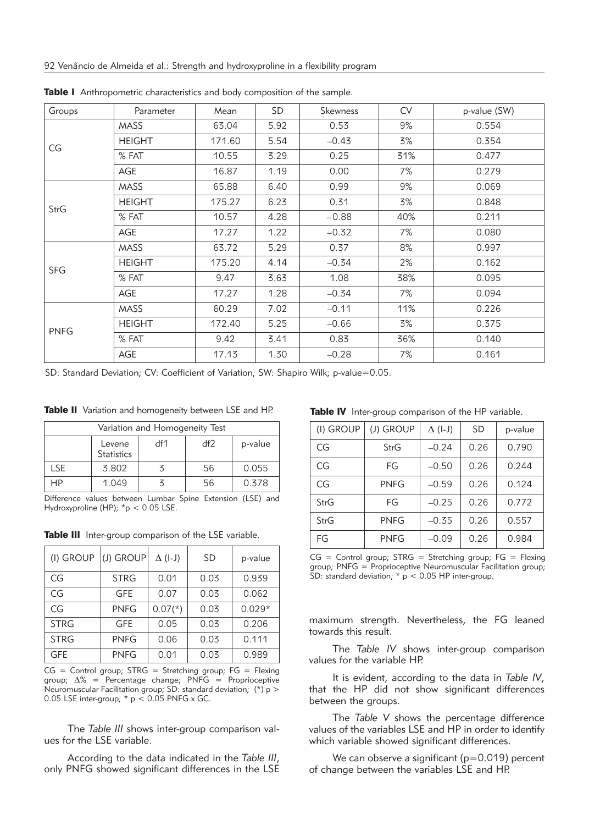| Groups      | Parameter     | Mean   | <b>SD</b> | Skewness | <b>CV</b> | p-value (SW) |
|-------------|---------------|--------|-----------|----------|-----------|--------------|
| CG          | <b>MASS</b>   | 63.04  | 5.92      | 0.53     | 9%        | 0.554        |
|             | <b>HEIGHT</b> | 171.60 | 5.54      | $-0.43$  | 3%        | 0.354        |
|             | % FAT         | 10.55  | 3.29      | 0.25     | 31%       | 0.477        |
|             | AGE           | 16.87  | 1.19      | 0.00     | 7%        | 0.279        |
| StrG        | <b>MASS</b>   | 65.88  | 6.40      | 0.99     | 9%        | 0.069        |
|             | <b>HEIGHT</b> | 175.27 | 6.23      | 0.31     | 3%        | 0.848        |
|             | % FAT         | 10.57  | 4.28      | $-0.88$  | 40%       | 0.211        |
|             | AGE           | 17.27  | 1.22      | $-0.32$  | 7%        | 0.080        |
| <b>SFG</b>  | <b>MASS</b>   | 63.72  | 5.29      | 0.37     | 8%        | 0.997        |
|             | <b>HEIGHT</b> | 175.20 | 4.14      | $-0.34$  | 2%        | 0.162        |
|             | % FAT         | 9.47   | 3.63      | 1.08     | 38%       | 0.095        |
|             | AGE           | 17.27  | 1.28      | $-0.34$  | 7%        | 0.094        |
| <b>PNFG</b> | <b>MASS</b>   | 60.29  | 7.02      | $-0.11$  | 11%       | 0.226        |
|             | <b>HEIGHT</b> | 172.40 | 5.25      | $-0.66$  | 3%        | 0.375        |
|             | % FAT         | 9.42   | 3.41      | 0.83     | 36%       | 0.140        |
|             | AGE           | 17.13  | 1.30      | $-0.28$  | 7%        | 0.161        |

Table I Anthropometric characteristics and body composition of the sample.

SD: Standard Deviation; CV: Coefficient of Variation; SW: Shapiro Wilk; p-value=0.05.

Table II Variation and homogeneity between LSE and HP.

| Variation and Homogeneity Test |                             |     |     |         |  |
|--------------------------------|-----------------------------|-----|-----|---------|--|
|                                | Levene<br><b>Statistics</b> | df1 | df2 | p-value |  |
| <b>LSE</b>                     | 3.802                       |     | 56  | 0.055   |  |
| HР                             | 1.049                       |     | 56  | 0.378   |  |

Difference values between Lumbar Spine Extension (LSE) and Hydroxyproline (HP); \*p < 0.05 LSE.

Table III Inter-group comparison of the LSE variable.

| (I) GROUP   | (J) GROUP   | $\Delta$ (I-J) | SD   | p-value  |
|-------------|-------------|----------------|------|----------|
| CG          | <b>STRG</b> | 0.01           | 0.03 | 0.939    |
| CG          | GFE         | 0.07           | 0.03 | 0.062    |
| CG          | <b>PNFG</b> | $0.07(*)$      | 0.03 | $0.029*$ |
| <b>STRG</b> | <b>GFE</b>  | 0.05           | 0.03 | 0.206    |
| <b>STRG</b> | <b>PNFG</b> | 0.06           | 0.03 | 0.111    |
| <b>GFE</b>  | <b>PNFG</b> | 0.01           | 0.03 | 0.989    |

 $CG = Control group$ ; STRG = Stretching group; FG = Flexing group;  $\Delta\%$  = Percentage change;  $\overrightarrow{PNFG}$  = Proprioceptive Neuromuscular Facilitation group; SD: standard deviation; (\*) p > 0.05 LSE inter-group;  $* p < 0.05$  PNFG x GC.

The *Table III* shows inter-group comparison values for the LSE variable.

According to the data indicated in the *Table III*, only PNFG showed significant differences in the LSE

Table IV Inter-group comparison of the HP variable.

| (I) GROUP | (J) GROUP | $\Delta$ (I-J) | <b>SD</b> | p-value |
|-----------|-----------|----------------|-----------|---------|
| CG        | StrG      | $-0.24$        | 0.26      | 0.790   |
| CG        | FG        | $-0.50$        | 0.26      | 0.244   |
| CG        | PNFG      | $-0.59$        | 0.26      | 0.124   |
| StrG      | FG        | $-0.25$        | 0.26      | 0.772   |
| StrG      | PNFG      | $-0.35$        | 0.26      | 0.557   |
| FG        | PNFG      | $-0.09$        | 0.26      | 0.984   |

 $CG = Control group; STRG = Stretching group; FG = Flexing$ group; PNFG = Proprioceptive Neuromuscular Facilitation group; SD: standard deviation; \* p < 0.05 HP inter-group.

maximum strength. Nevertheless, the FG leaned towards this result.

The *Table IV* shows inter-group comparison values for the variable HP.

It is evident, according to the data in *Table IV*, that the HP did not show significant differences between the groups.

The *Table V* shows the percentage difference values of the variables LSE and HP in order to identify which variable showed significant differences.

We can observe a significant (p=0.019) percent of change between the variables LSE and HP.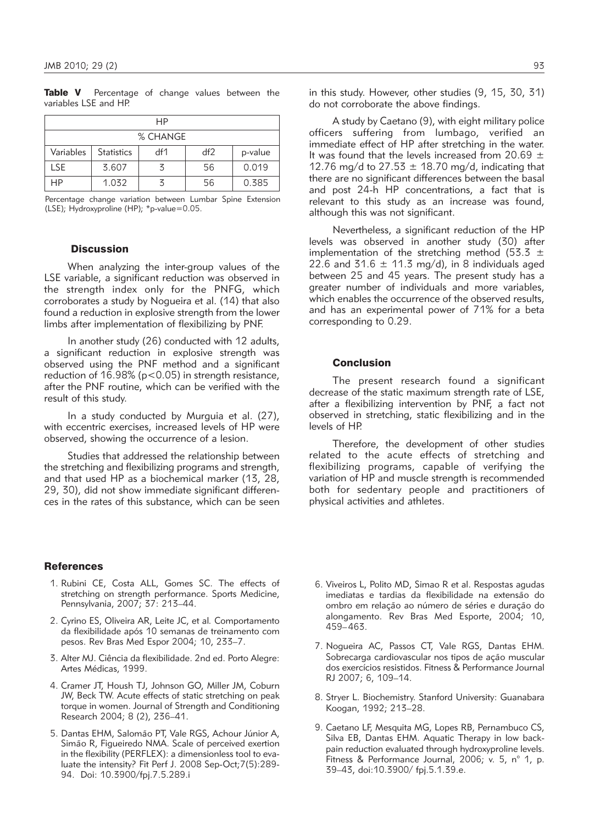Table V Percentage of change values between the variables LSE and HP.

| НP        |                   |     |     |         |  |
|-----------|-------------------|-----|-----|---------|--|
| % CHANGE  |                   |     |     |         |  |
| Variables | <b>Statistics</b> | df1 | df2 | p-value |  |
| LSE.      | 3.607             | z   | 56  | 0.019   |  |
| НP        | 1.032             |     | 56  | 0.385   |  |

Percentage change variation between Lumbar Spine Extension (LSE); Hydroxyproline (HP); \*p-value=0.05.

#### **Discussion**

When analyzing the inter-group values of the LSE variable, a significant reduction was observed in the strength index only for the PNFG, which corroborates a study by Nogueira et al. (14) that also found a reduction in explosive strength from the lower limbs after implementation of flexibilizing by PNF.

In another study (26) conducted with 12 adults, a significant reduction in explosive strength was observed using the PNF method and a significant reduction of  $16.98\%$  (p<0.05) in strength resistance, after the PNF routine, which can be verified with the result of this study.

In a study conducted by Murguia et al. (27), with eccentric exercises, increased levels of HP were observed, showing the occurrence of a lesion.

Studies that addressed the relationship between the stretching and flexibilizing programs and strength, and that used HP as a biochemical marker (13, 28, 29, 30), did not show immediate significant differences in the rates of this substance, which can be seen

# **References**

- 1. Rubini CE, Costa ALL, Gomes SC. The effects of stretching on strength performance. Sports Medicine, Pennsylvania, 2007; 37: 213–44.
- 2. Cyrino ES, Oliveira AR, Leite JC, et al*.* Comportamento da flexibilidade após 10 semanas de treinamento com pesos. Rev Bras Med Espor 2004; 10, 233–7.
- 3. Alter MJ. Ciência da flexibilidade. 2nd ed. Porto Alegre: Artes Médicas, 1999.
- 4. Cramer JT, Housh TJ, Johnson GO, Miller JM, Coburn JW, Beck TW. Acute effects of static stretching on peak torque in women. Journal of Strength and Conditioning Research 2004; 8 (2), 236-41.
- 5. Dantas EHM, Salomão PT, Vale RGS, Achour Júnior A, Simão R, Figueiredo NMA. Scale of perceived exertion in the flexibility (PERFLEX): a dimensionless tool to evaluate the intensity? Fit Perf J. 2008 Sep-Oct;7(5):289- 94. Doi: 10.3900/fpj.7.5.289.i

in this study. However, other studies (9, 15, 30, 31) do not corroborate the above findings.

A study by Caetano (9), with eight military police officers suffering from lumbago, verified an immediate effect of HP after stretching in the water. It was found that the levels increased from 20.69  $\pm$ 12.76 mg/d to 27.53  $\pm$  18.70 mg/d, indicating that there are no significant differences between the basal and post 24-h HP concentrations, a fact that is relevant to this study as an increase was found, although this was not significant.

Nevertheless, a significant reduction of the HP levels was observed in another study (30) after implementation of the stretching method (53.3  $\pm$ 22.6 and 31.6  $\pm$  11.3 mg/d), in 8 individuals aged between 25 and 45 years. The present study has a greater number of individuals and more variables, which enables the occurrence of the observed results, and has an experimental power of 71% for a beta corresponding to 0.29.

### Conclusion

The present research found a significant decrease of the static maximum strength rate of LSE, after a flexibilizing intervention by PNF, a fact not observed in stretching, static flexibilizing and in the levels of HP.

Therefore, the development of other studies related to the acute effects of stretching and flexibilizing programs, capable of verifying the variation of HP and muscle strength is recommended both for sedentary people and practitioners of physical activities and athletes.

- 6. Viveiros L, Polito MD, Simao R et al. Respostas agudas imediatas e tardias da flexibilidade na extensão do ombro em relação ao número de séries e duração do alongamento. Rev Bras Med Esporte, 2004; 10, 459–463.
- 7. Nogueira AC, Passos CT, Vale RGS, Dantas EHM. Sobrecarga cardiovascular nos tipos de ação muscular dos exercícios resistidos. Fitness & Performance Journal RJ 2007; 6, 109–14.
- 8. Stryer L. Biochemistry. Stanford University: Guanabara Koogan, 1992; 213–28.
- 9. Caetano LF, Mesquita MG, Lopes RB, Pernambuco CS, Silva EB, Dantas EHM. Aquatic Therapy in low backpain reduction evaluated through hydroxyproline levels. Fitness & Performance Journal, 2006; v. 5, n° 1, p. 39–43, doi:10.3900/ fpj.5.1.39.e.